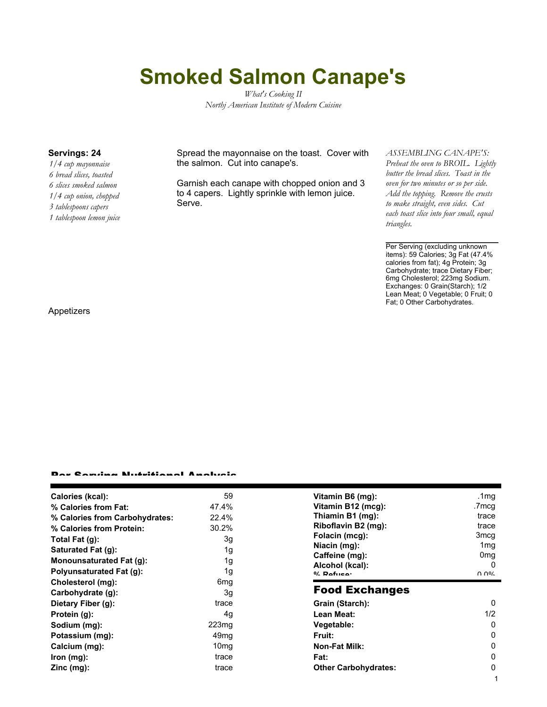# **Smoked Salmon Canape's**

*What's Cooking II Northj American Institute of Modern Cuisine*

*1/4 cup mayonnaise 6 bread slices, toasted 6 slices smoked salmon 1/4 cup onion, chopped 3 tablespoons capers 1 tablespoon lemon juice*

**Servings: 24** Spread the mayonnaise on the toast. Cover with the salmon. Cut into canape's.

> Garnish each canape with chopped onion and 3 to 4 capers. Lightly sprinkle with lemon juice. Serve.

#### *ASSEMBLING CANAPE'S:*

*Preheat the oven to BROIL. Lightly butter the bread slices. Toast in the oven for two minutes or so per side. Add the topping. Remove the crusts to make straight, even sides. Cut each toast slice into four small, equal triangles.*

Per Serving (excluding unknown items): 59 Calories; 3g Fat (47.4% calories from fat); 4g Protein; 3g Carbohydrate; trace Dietary Fiber; 6mg Cholesterol; 223mg Sodium. Exchanges: 0 Grain(Starch); 1/2 Lean Meat; 0 Vegetable; 0 Fruit; 0 Fat; 0 Other Carbohydrates.

Appetizers

#### Per Serving Nutritional Analysis

| Calories (kcal):                | 59                | Vitamin B6 (mg):                  | .1 $mg$          |
|---------------------------------|-------------------|-----------------------------------|------------------|
| % Calories from Fat:            | 47.4%             | Vitamin B12 (mcg):                | .7mcg            |
| % Calories from Carbohydrates:  | 22.4%             | Thiamin B1 (mg):                  | trace            |
| % Calories from Protein:        | 30.2%             | Riboflavin B2 (mg):               | trace            |
| Total Fat $(g)$ :               | 3g                | Folacin (mcg):                    | 3mcq             |
| Saturated Fat (g):              | 1g                | Niacin (mg):                      | 1 <sub>mg</sub>  |
| <b>Monounsaturated Fat (g):</b> | 1g                | Caffeine (mg):                    | 0 <sub>mg</sub>  |
| <b>Polyunsaturated Fat (g):</b> | 1g                | Alcohol (kcal):<br>$0/2$ Pofileon | $\Omega$<br>በ በ% |
| Cholesterol (mg):               | 6 <sub>mg</sub>   |                                   |                  |
| Carbohydrate (g):               | 3g                | <b>Food Exchanges</b>             |                  |
| Dietary Fiber (g):              | trace             | Grain (Starch):                   | 0                |
| Protein (g):                    | 4g                | Lean Meat:                        | 1/2              |
| Sodium (mg):                    | 223 <sub>mg</sub> | Vegetable:                        | 0                |
| Potassium (mg):                 | 49 <sub>mg</sub>  | Fruit:                            | 0                |
| Calcium (mg):                   | 10 <sub>mg</sub>  | <b>Non-Fat Milk:</b>              | 0                |
| lron (mg):                      | trace             | Fat:                              | 0                |
| $Zinc$ (mg):                    | trace             | <b>Other Carbohydrates:</b>       | 0                |
|                                 |                   |                                   |                  |